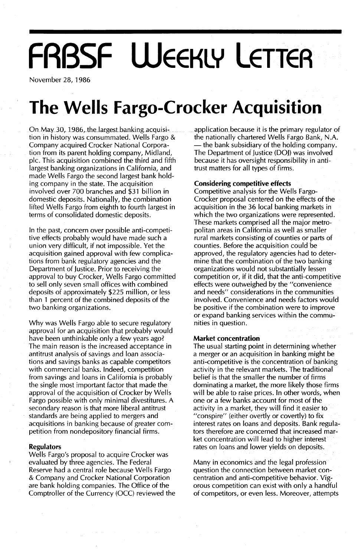# **FRBSF WEEKLY LETTER**

November 28, 1986

## **The Wells Fargo-Crocker Acquisition**

On May 30, 1986, the largest banking acquisition in history was consummated. Wells Fargo & Company acquired Crocker National Corporation from its parent holding company, Midland, pic. This acquisition combined the third and fifth largest banking organizations in California, and made Wells Fargo the second largest bank holding company in the state. The acquisition involved over 700 branches and \$31 billion in domestic deposits. Nationally, the combination lifted Wells Fargo from eighth to fourth largest in terms of consolidated domestic deposits.

In the past, concern over possible anti-competitive effects probably would have made such a union very difficult, if not impossible. Yet the acquisition gained approval with few complications from bank regulatory agencies and the Department of justice. Prior to receiving the approval to buy Crocker, Wells Fargo committed to sell only seven small offices with combined deposits of approximately \$225 million, or less than 1 percent of the combined deposits of the two banking organizations.

Why was Wells Fargo able to secure regulatory approval for an acquisition that probably would have been unthinkable only a few years ago? The main reason is the increased acceptance in antitrust analysis of savings and loan associations and savings banks as capable competitors with commercial banks. Indeed, competition from savings and loans in California is probably the single most important factor that made the approval of the acquisition of Crocker by Wells Fargo possible with only minimal divestitures. A secondary reason is that more liberal antitrust standards are being applied to mergers and acquisitions in banking because of greater competition from nondepository financial firms.

#### **Regulators**

Wells Fargo's proposal to acquire Crocker was evaluated by three agencies. The Federal Reserve had a central role because Wells Fargo & Company and Crocker National Corporation are bank holding companies. The Office of the Comptroller of the Currency (OCC) reviewed the application because it is the primary regulator of the nationally chartered Wells Fargo Bank, N.A. - the bank subsidiary of the holding company. The Department of justice (DOj) was involved because it has oversight responsibility in antitrust matters for all types of firms.

#### **Considering competitive effects**

Competitive analysis for the Wells Fargo-Crocker proposal centered on the effects of the acquisition in the 36 local banking markets in which the two organizations were represented. These markets comprised all the major metropolitan areas in California as well as smaller rural markets consisting of counties or parts of counties. Before the acquisition could he approved, the regulatory agencies had to determine that the combination of the two banking organizations would not substantially lessen competition or, if it did, that the anti-competitive effects were outweighed by the "convenience and needs" considerations in the communities involved. Convenience and needs factors would be positive if the combination were to improve or expand banking services within thecommunities in question.

#### **Market concentration**

The usual starting point in determining whether a merger or an acquisition in banking might be anti-competitive is the concentration of banking activity in the relevant markets. The traditional belief is that the smaller the number of firms dominating a market, the more likely those firms will be able to raise prices. In other words, when one or a few banks account for most of the activity in a market, they will find it easier to "conspire" (either overtly or covertly) to fix interest rates on loans and deposits. Bank regula~ tors therefore are concerned that increased market concentration will lead to higher interest rates on loans and lower yields on deposits.

Many in economics and the legal profession question the connection between market concentration and anti-competitive behavior. Vigorous competition can exist with only a handful of competitors, or even less. Moreover, attempts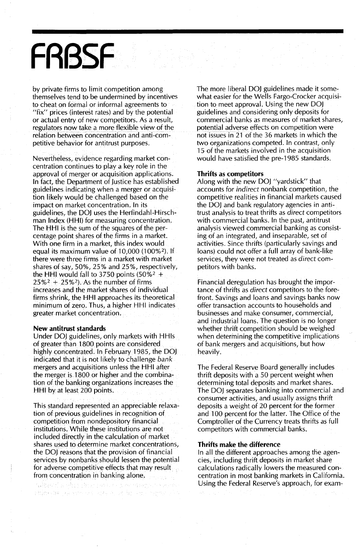## **FABSF**

by private firms to limit competition among themselves tend to be undermined by incentives to cheat on formal or informal agreements to "fix" prices (interest rates) and by the potential or actual entry of new competitors. As a result, regulators now take a more flexible view of the relation betWeen concentration and anti-competitive behavior for antitrust purposes.

Nevertheless, evidence regarding market concentration continues to playa key role in the approval of merger or acquisition applications. In fact, the Department of justice has established guidelines indicating when a merger or acquisition likely would be challenged based on the impact on market concentration. In its guidelines, the DOj uses the Herfindahl-Hirschman Index (HHI) for measuring concentration. The HHI is the sum of the squares of the percentage point shares of the firms in a market. With one firm in a market, this index would equal its maximum value of 10,000 (100%2). If there were three firms in a market with market shares of say, 50%,25% and 25%, respectively, the HHI would fall to 3750 points  $(50\%^2 +$  $25\%^2 + 25\%^2$ . As the number of firms increases and the market shares of individual firms shrink, the  $HHI$  approaches its theoretical minimum of Zero. Thus, a higher HHI indicates greater market concentration.

### **New antitrust standards**

Under DOJ guidelines, only markets with HHIs of greater than 1800 points are considered highly concentrated. In February 1985, the DOJ indicated that it is not likely to challenge *bank* mergers and acquisitions unless the HHI after the merger is 1800 or higher and the combination of the banking organizations increases the HHI by at least 200 points.

This standard represented an appreciable relaxation of previous guidelines in recognition of competition from nondepository financial institutions. While these institutions are not included directly in the calculation of market shares used to determine market concentrations, the DOj reasons that the provision of financial services by nonbanks should lessen the potential for adverse competitive effects that may result from concentration in banking alone,

When I would show home in a modern conserva Phine Second and the Second Second Committee of the

The more liberal DOj guidelines made it somewhat easier for the Wells Fargo-Crocker acquisition to meet approval. Using the new DOj guidelines and considering only deposits for commercial banks as measures of market shares, potential adverse effects on competition were not issues in 21 of the 36 markets in which the two organizations competed. In contrast, only 15 of the markets involved in the acquisition would have satisfied the pre-1985 standards.

#### **Thrifts as competitors**

Along with the new DOj "yardstick" that accounts for *indirect* nonbank competition, the competitive realities in financial markets caused the DOJ and bank regulatory agencies in antitrust analysis to treat thrifts as *direct* competitors with commercial banks. In the past, antitrust analysis viewed commercial banking as consisting of an integrated, and inseparable, set of activities. Since thrifts (particularly savings and loans) could not offer a full array of bank-like services, they were not treated as *direct* competitors with banks.

Financial deregulation has brought the importance of thrifts as *direct* competitors to the forefront. Savings and loans and savings banks now offer transaction accounts to households and businesses and make consumer, commercial, and industrial loans. The question is no longer whether thrift competition should be weighed when determining the competitive implications of bank mergers and acquisitions, but how heavily.

The Federal Reserve Board generally includes thrift deposits with a 50 percent weight when determining total deposits and market shares. The DOJ separates banking into commercial and consumer activities, and usually assigns thrift deposits a weight of 20 percent for the former and 100 percent for the latter. The Office of the Comptroller of the Currency treats thrifts as full competitors with commercial banks.

#### **Thrifts make the difference**

In all the different approaches among the agencies, including thrift deposits in market share calculations radically lowers the measured concentration in most banking markets in California. Using the Federal Reserve's approach, for exam-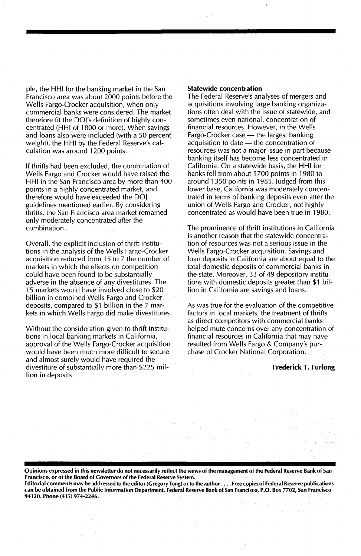pie, the HHI for the banking market in the San Francisco area was about 2000 points before the Wells Fargo-Crocker acquisition, when only commercial banks were considered. The market therefore fit the DOj's definition of highly concentrated (HHI of 1800 or more). When savings and loans also were included (with a 50 percent weight), the HHI by the Federal Reserve's calculation was around 1200 points.

If thrifts had been excluded, the combination of Wells Fargo and Crocker would have raised the HHI in the San Francisco area by more than 400 points in a highly concentrated market, and therefore would have exceeded the DOJ guidelines mentioned earlier. By considering thrifts, the San Francisco area market remained only moderately concentrated after the combination.

Overall, the explicit inclusion of thrift institutions in the analysis of the Wells Fargo-Crocker acquisition reduced from 15 to 7 the number of markets in which the effects on competition could have been found to be substantially adverse in the absence of any divestitures. The 15 markets would have involved close to \$20 billion in combined Wells Fargo and Crocker deposits, compared to \$1 billion in the 7 markets in which Wells Fargo did make divestitures.

Without the consideration given to thrift institutions in local banking markets in California, approval of the Wells Fargo-Crocker acquisition would have been much more difficult to secure and almost surely would have required the divestiture of substantially more than \$225 million in deposits.

#### Statewide concentration

The Federal Reserve's analyses of mergers and acquisitions involving large banking organizations often deal with the issue of statewide, and sometimes even national, concentration of financial resources. However, in the Wells Fargo-Crocker case - the largest banking acquisition to date - the concentration of resources was not a major issue in part because banking itself has become less concentrated in California. On a statewide basis, the HHI for banks fell from about 1700 points in 1980 to around 1350 points in 1985. Judged from this lower base, California was moderately concentrated in terms of banking deposits even after the union of Wells Fargo and Crocker, not highly concentrated as would have been true in 1980.

The prominence of thrift institutions in California is another reason that the statewide concentration of resources was not a serious issue in the Wells Fargo-Crocker acquisition. Savings and loan deposits in California are about equal to the total domestic deposits of commercial banks in the state. Moreover, 33 of 49 depository institutions with domestic deposits greater than \$1 billion in California are savings and loans.

As was true for the evaluation of the competitive factors in local markets, the treatment of thrifts as direct competitors with commercial banks helped mute concerns over any concentration of financial resources in California that may have resulted from Wells Fargo & Company's purchase of Crocker National Corporation.

#### Frederick T. Furlong

Opinions expressed in this newsletter do not necessarily reflect the views of the management of the Federal Reserve Bank of San Francisco, or of the Board of Governors of the Federal Reserve System.

Editorial comments may be addressed to the editor (Gregory Tong) orto the author .... Free copies of Federal Reserve publications can be obtained from the Public Information Department, Federal Reserve Bank of San Francisco, P.O. Box 7702, San Francisco 94120. Phone (415) 974-2246.